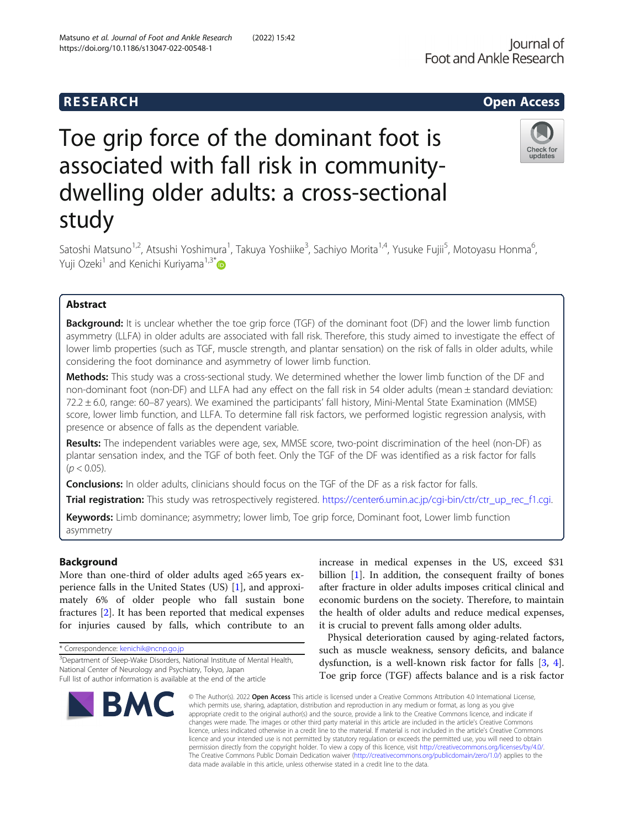# **RESEARCH RESEARCH CONSUMING ACCESS**

# Toe grip force of the dominant foot is associated with fall risk in communitydwelling older adults: a cross-sectional study



Satoshi Matsuno<sup>1,2</sup>, Atsushi Yoshimura<sup>1</sup>, Takuya Yoshiike<sup>3</sup>, Sachiyo Morita<sup>1,4</sup>, Yusuke Fujii<sup>5</sup>, Motoyasu Honma<sup>6</sup> י<br>, Yuji Ozeki<sup>1</sup> and Kenichi Kuriyama<sup>1,3\*</sup>

# Abstract

**Background:** It is unclear whether the toe grip force (TGF) of the dominant foot (DF) and the lower limb function asymmetry (LLFA) in older adults are associated with fall risk. Therefore, this study aimed to investigate the effect of lower limb properties (such as TGF, muscle strength, and plantar sensation) on the risk of falls in older adults, while considering the foot dominance and asymmetry of lower limb function.

Methods: This study was a cross-sectional study. We determined whether the lower limb function of the DF and non-dominant foot (non-DF) and LLFA had any effect on the fall risk in 54 older adults (mean ± standard deviation: 72.2 ± 6.0, range: 60–87 years). We examined the participants' fall history, Mini-Mental State Examination (MMSE) score, lower limb function, and LLFA. To determine fall risk factors, we performed logistic regression analysis, with presence or absence of falls as the dependent variable.

Results: The independent variables were age, sex, MMSE score, two-point discrimination of the heel (non-DF) as plantar sensation index, and the TGF of both feet. Only the TGF of the DF was identified as a risk factor for falls  $(p < 0.05)$ .

**Conclusions:** In older adults, clinicians should focus on the TGF of the DF as a risk factor for falls.

Trial registration: This study was retrospectively registered. [https://center6.umin.ac.jp/cgi-bin/ctr/ctr\\_up\\_rec\\_f1.cgi](https://center6.umin.ac.jp/cgi-bin/ctr/ctr_up_rec_f1.cgi).

Keywords: Limb dominance; asymmetry; lower limb, Toe grip force, Dominant foot, Lower limb function asymmetry

# Background

More than one-third of older adults aged ≥65 years experience falls in the United States (US) [\[1](#page-6-0)], and approximately 6% of older people who fall sustain bone fractures [[2\]](#page-6-0). It has been reported that medical expenses for injuries caused by falls, which contribute to an

\* Correspondence: [kenichik@ncnp.go.jp](mailto:kenichik@ncnp.go.jp)

<sup>&</sup>lt;sup>3</sup>Department of Sleep-Wake Disorders, National Institute of Mental Health, National Center of Neurology and Psychiatry, Tokyo, Japan Full list of author information is available at the end of the article



increase in medical expenses in the US, exceed \$31 billion [\[1](#page-6-0)]. In addition, the consequent frailty of bones after fracture in older adults imposes critical clinical and economic burdens on the society. Therefore, to maintain the health of older adults and reduce medical expenses, it is crucial to prevent falls among older adults.

Physical deterioration caused by aging-related factors, such as muscle weakness, sensory deficits, and balance dysfunction, is a well-known risk factor for falls [[3,](#page-6-0) [4](#page-6-0)]. Toe grip force (TGF) affects balance and is a risk factor

© The Author(s). 2022 Open Access This article is licensed under a Creative Commons Attribution 4.0 International License, which permits use, sharing, adaptation, distribution and reproduction in any medium or format, as long as you give appropriate credit to the original author(s) and the source, provide a link to the Creative Commons licence, and indicate if changes were made. The images or other third party material in this article are included in the article's Creative Commons licence, unless indicated otherwise in a credit line to the material. If material is not included in the article's Creative Commons licence and your intended use is not permitted by statutory regulation or exceeds the permitted use, you will need to obtain permission directly from the copyright holder. To view a copy of this licence, visit [http://creativecommons.org/licenses/by/4.0/.](http://creativecommons.org/licenses/by/4.0/) The Creative Commons Public Domain Dedication waiver [\(http://creativecommons.org/publicdomain/zero/1.0/](http://creativecommons.org/publicdomain/zero/1.0/)) applies to the data made available in this article, unless otherwise stated in a credit line to the data.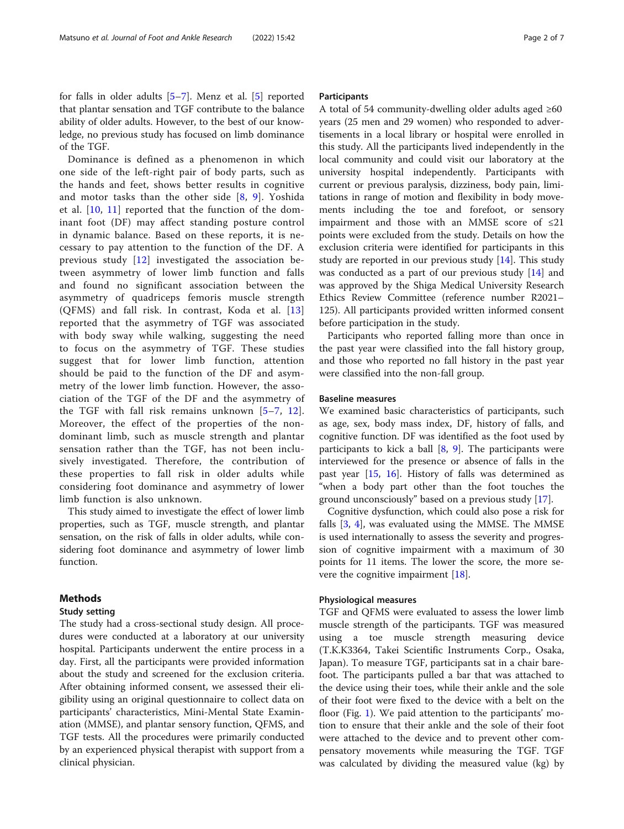for falls in older adults [\[5](#page-6-0)–[7](#page-6-0)]. Menz et al. [\[5](#page-6-0)] reported that plantar sensation and TGF contribute to the balance ability of older adults. However, to the best of our knowledge, no previous study has focused on limb dominance of the TGF.

Dominance is defined as a phenomenon in which one side of the left-right pair of body parts, such as the hands and feet, shows better results in cognitive and motor tasks than the other side  $[8, 9]$  $[8, 9]$  $[8, 9]$  $[8, 9]$  $[8, 9]$ . Yoshida et al. [[10,](#page-6-0) [11](#page-6-0)] reported that the function of the dominant foot (DF) may affect standing posture control in dynamic balance. Based on these reports, it is necessary to pay attention to the function of the DF. A previous study [\[12](#page-6-0)] investigated the association between asymmetry of lower limb function and falls and found no significant association between the asymmetry of quadriceps femoris muscle strength (QFMS) and fall risk. In contrast, Koda et al. [\[13](#page-6-0)] reported that the asymmetry of TGF was associated with body sway while walking, suggesting the need to focus on the asymmetry of TGF. These studies suggest that for lower limb function, attention should be paid to the function of the DF and asymmetry of the lower limb function. However, the association of the TGF of the DF and the asymmetry of the TGF with fall risk remains unknown [[5](#page-6-0)–[7](#page-6-0), [12](#page-6-0)]. Moreover, the effect of the properties of the nondominant limb, such as muscle strength and plantar sensation rather than the TGF, has not been inclusively investigated. Therefore, the contribution of these properties to fall risk in older adults while considering foot dominance and asymmetry of lower limb function is also unknown.

This study aimed to investigate the effect of lower limb properties, such as TGF, muscle strength, and plantar sensation, on the risk of falls in older adults, while considering foot dominance and asymmetry of lower limb function.

### Methods

#### Study setting

The study had a cross-sectional study design. All procedures were conducted at a laboratory at our university hospital. Participants underwent the entire process in a day. First, all the participants were provided information about the study and screened for the exclusion criteria. After obtaining informed consent, we assessed their eligibility using an original questionnaire to collect data on participants' characteristics, Mini-Mental State Examination (MMSE), and plantar sensory function, QFMS, and TGF tests. All the procedures were primarily conducted by an experienced physical therapist with support from a clinical physician.

#### **Participants**

A total of 54 community-dwelling older adults aged ≥60 years (25 men and 29 women) who responded to advertisements in a local library or hospital were enrolled in this study. All the participants lived independently in the local community and could visit our laboratory at the university hospital independently. Participants with current or previous paralysis, dizziness, body pain, limitations in range of motion and flexibility in body movements including the toe and forefoot, or sensory impairment and those with an MMSE score of ≤21 points were excluded from the study. Details on how the exclusion criteria were identified for participants in this study are reported in our previous study  $[14]$ . This study was conducted as a part of our previous study  $[14]$  $[14]$  and was approved by the Shiga Medical University Research Ethics Review Committee (reference number R2021– 125). All participants provided written informed consent before participation in the study.

Participants who reported falling more than once in the past year were classified into the fall history group, and those who reported no fall history in the past year were classified into the non-fall group.

#### Baseline measures

We examined basic characteristics of participants, such as age, sex, body mass index, DF, history of falls, and cognitive function. DF was identified as the foot used by participants to kick a ball  $[8, 9]$  $[8, 9]$  $[8, 9]$  $[8, 9]$  $[8, 9]$ . The participants were interviewed for the presence or absence of falls in the past year [[15](#page-6-0), [16](#page-6-0)]. History of falls was determined as "when a body part other than the foot touches the ground unconsciously" based on a previous study [\[17](#page-6-0)].

Cognitive dysfunction, which could also pose a risk for falls [[3,](#page-6-0) [4](#page-6-0)], was evaluated using the MMSE. The MMSE is used internationally to assess the severity and progression of cognitive impairment with a maximum of 30 points for 11 items. The lower the score, the more severe the cognitive impairment [\[18\]](#page-6-0).

#### Physiological measures

TGF and QFMS were evaluated to assess the lower limb muscle strength of the participants. TGF was measured using a toe muscle strength measuring device (T.K.K3364, Takei Scientific Instruments Corp., Osaka, Japan). To measure TGF, participants sat in a chair barefoot. The participants pulled a bar that was attached to the device using their toes, while their ankle and the sole of their foot were fixed to the device with a belt on the floor (Fig. [1](#page-2-0)). We paid attention to the participants' motion to ensure that their ankle and the sole of their foot were attached to the device and to prevent other compensatory movements while measuring the TGF. TGF was calculated by dividing the measured value (kg) by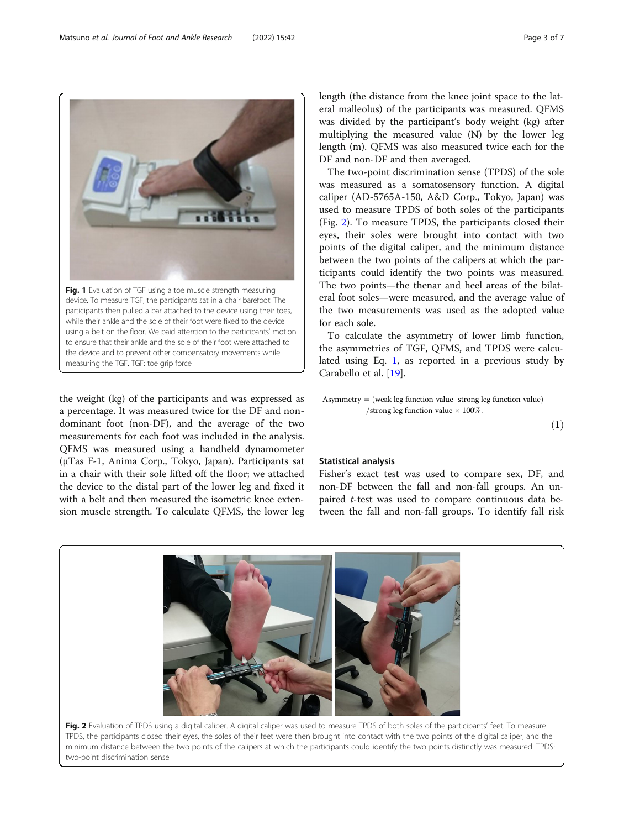the weight (kg) of the participants and was expressed as a percentage. It was measured twice for the DF and nondominant foot (non-DF), and the average of the two measurements for each foot was included in the analysis. QFMS was measured using a handheld dynamometer (μTas F-1, Anima Corp., Tokyo, Japan). Participants sat in a chair with their sole lifted off the floor; we attached the device to the distal part of the lower leg and fixed it with a belt and then measured the isometric knee extension muscle strength. To calculate QFMS, the lower leg

measuring the TGF. TGF: toe grip force

length (the distance from the knee joint space to the lateral malleolus) of the participants was measured. QFMS was divided by the participant's body weight (kg) after multiplying the measured value (N) by the lower leg length (m). QFMS was also measured twice each for the DF and non-DF and then averaged.

The two-point discrimination sense (TPDS) of the sole was measured as a somatosensory function. A digital caliper (AD-5765A-150, A&D Corp., Tokyo, Japan) was used to measure TPDS of both soles of the participants (Fig. 2). To measure TPDS, the participants closed their eyes, their soles were brought into contact with two points of the digital caliper, and the minimum distance between the two points of the calipers at which the participants could identify the two points was measured. The two points—the thenar and heel areas of the bilateral foot soles—were measured, and the average value of the two measurements was used as the adopted value for each sole.

To calculate the asymmetry of lower limb function, the asymmetries of TGF, QFMS, and TPDS were calculated using Eq. 1, as reported in a previous study by Carabello et al. [\[19](#page-6-0)].

Asymmetry  $=$  (weak leg function value−strong leg function value) /strong leg function value  $\times$  100%.

 $(1)$ 

### Statistical analysis

Fisher's exact test was used to compare sex, DF, and non-DF between the fall and non-fall groups. An unpaired t-test was used to compare continuous data between the fall and non-fall groups. To identify fall risk

Fig. 2 Evaluation of TPDS using a digital caliper. A digital caliper was used to measure TPDS of both soles of the participants' feet. To measure TPDS, the participants closed their eyes, the soles of their feet were then brought into contact with the two points of the digital caliper, and the minimum distance between the two points of the calipers at which the participants could identify the two points distinctly was measured. TPDS: two-point discrimination sense



<span id="page-2-0"></span>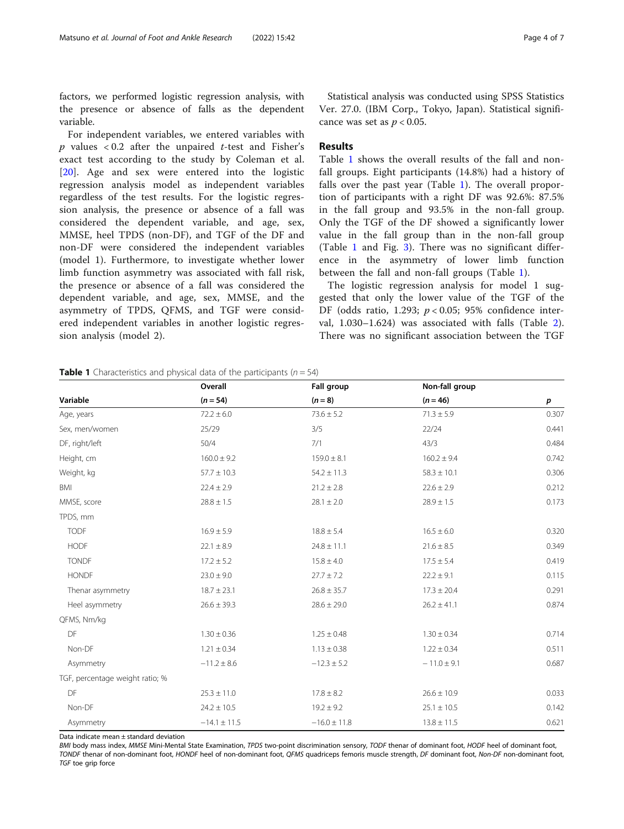factors, we performed logistic regression analysis, with the presence or absence of falls as the dependent variable.

For independent variables, we entered variables with  $p$  values < 0.2 after the unpaired  $t$ -test and Fisher's exact test according to the study by Coleman et al. [[20\]](#page-6-0). Age and sex were entered into the logistic regression analysis model as independent variables regardless of the test results. For the logistic regression analysis, the presence or absence of a fall was considered the dependent variable, and age, sex, MMSE, heel TPDS (non-DF), and TGF of the DF and non-DF were considered the independent variables (model 1). Furthermore, to investigate whether lower limb function asymmetry was associated with fall risk, the presence or absence of a fall was considered the dependent variable, and age, sex, MMSE, and the asymmetry of TPDS, QFMS, and TGF were considered independent variables in another logistic regression analysis (model 2).

Statistical analysis was conducted using SPSS Statistics Ver. 27.0. (IBM Corp., Tokyo, Japan). Statistical significance was set as  $p < 0.05$ .

### Results

Table 1 shows the overall results of the fall and nonfall groups. Eight participants (14.8%) had a history of falls over the past year (Table 1). The overall proportion of participants with a right DF was 92.6%: 87.5% in the fall group and 93.5% in the non-fall group. Only the TGF of the DF showed a significantly lower value in the fall group than in the non-fall group (Table 1 and Fig. [3](#page-4-0)). There was no significant difference in the asymmetry of lower limb function between the fall and non-fall groups (Table 1).

The logistic regression analysis for model 1 suggested that only the lower value of the TGF of the DF (odds ratio, 1.293;  $p < 0.05$ ; 95% confidence interval, 1.030–1.624) was associated with falls (Table [2](#page-4-0)). There was no significant association between the TGF

| Variable                        | Overall<br>$(n = 54)$ | Fall group       | Non-fall group  | $\boldsymbol{p}$ |
|---------------------------------|-----------------------|------------------|-----------------|------------------|
|                                 |                       | $(n = 8)$        | $(n = 46)$      |                  |
| Age, years                      | $72.2 \pm 6.0$        | $73.6 \pm 5.2$   | $71.3 \pm 5.9$  | 0.307            |
| Sex, men/women                  | 25/29                 | 3/5              | 22/24           | 0.441            |
| DF, right/left                  | 50/4                  | 7/1              | 43/3            | 0.484            |
| Height, cm                      | $160.0 \pm 9.2$       | $159.0 \pm 8.1$  | $160.2 \pm 9.4$ | 0.742            |
| Weight, kg                      | $57.7 \pm 10.3$       | $54.2 \pm 11.3$  | $58.3 \pm 10.1$ | 0.306            |
| BMI                             | $22.4 \pm 2.9$        | $21.2 \pm 2.8$   | $22.6 \pm 2.9$  | 0.212            |
| MMSE, score                     | $28.8 \pm 1.5$        | $28.1 \pm 2.0$   | $28.9 \pm 1.5$  | 0.173            |
| TPDS, mm                        |                       |                  |                 |                  |
| <b>TODF</b>                     | $16.9 \pm 5.9$        | $18.8 \pm 5.4$   | $16.5 \pm 6.0$  | 0.320            |
| <b>HODF</b>                     | $22.1 \pm 8.9$        | $24.8 \pm 11.1$  | $21.6 \pm 8.5$  | 0.349            |
| <b>TONDF</b>                    | $17.2 \pm 5.2$        | $15.8 \pm 4.0$   | $17.5 \pm 5.4$  | 0.419            |
| <b>HONDF</b>                    | $23.0 \pm 9.0$        | $27.7 \pm 7.2$   | $22.2 \pm 9.1$  | 0.115            |
| Thenar asymmetry                | $18.7 \pm 23.1$       | $26.8 \pm 35.7$  | $17.3 \pm 20.4$ | 0.291            |
| Heel asymmetry                  | $26.6 \pm 39.3$       | $28.6 \pm 29.0$  | $26.2 \pm 41.1$ | 0.874            |
| QFMS, Nm/kg                     |                       |                  |                 |                  |
| DF                              | $1.30 \pm 0.36$       | $1.25 \pm 0.48$  | $1.30 \pm 0.34$ | 0.714            |
| Non-DF                          | $1.21 \pm 0.34$       | $1.13 \pm 0.38$  | $1.22 \pm 0.34$ | 0.511            |
| Asymmetry                       | $-11.2 \pm 8.6$       | $-12.3 \pm 5.2$  | $-11.0 \pm 9.1$ | 0.687            |
| TGF, percentage weight ratio; % |                       |                  |                 |                  |
| DF                              | $25.3 \pm 11.0$       | $17.8 \pm 8.2$   | $26.6 \pm 10.9$ | 0.033            |
| Non-DF                          | $24.2 \pm 10.5$       | $19.2 \pm 9.2$   | $25.1 \pm 10.5$ | 0.142            |
| Asymmetry                       | $-14.1 \pm 11.5$      | $-16.0 \pm 11.8$ | $13.8 \pm 11.5$ | 0.621            |
|                                 |                       |                  |                 |                  |

**Table 1** Characteristics and physical data of the participants ( $n = 54$ )

Data indicate mean ± standard deviation

BMI body mass index, MMSE Mini-Mental State Examination, TPDS two-point discrimination sensory, TODF thenar of dominant foot, HODF heel of dominant foot, TONDF thenar of non-dominant foot, HONDF heel of non-dominant foot, QFMS quadriceps femoris muscle strength, DF dominant foot, Non-DF non-dominant foot, TGF toe grip force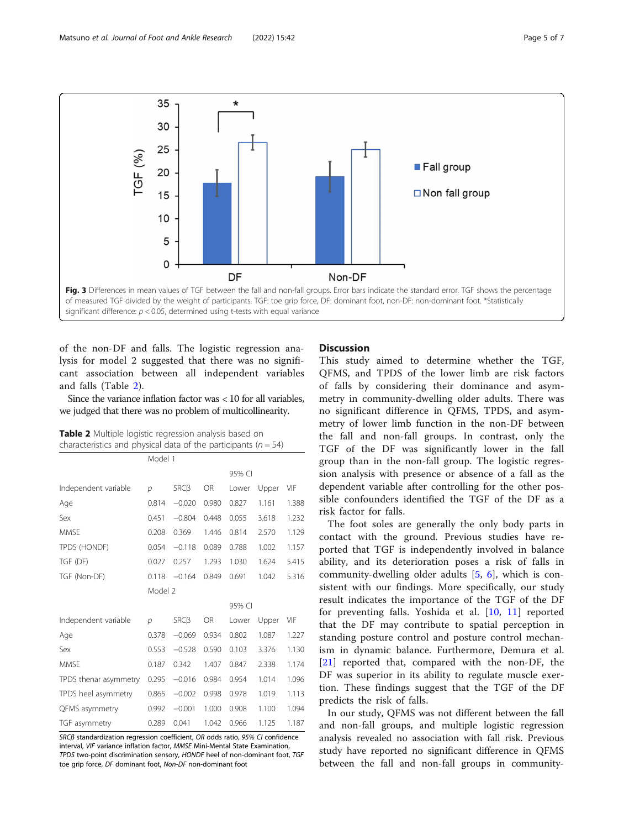<span id="page-4-0"></span>

of the non-DF and falls. The logistic regression analysis for model 2 suggested that there was no significant association between all independent variables and falls (Table 2).

Since the variance inflation factor was < 10 for all variables, we judged that there was no problem of multicollinearity.

Table 2 Multiple logistic regression analysis based on characteristics and physical data of the participants ( $n = 54$ )

|                       | Model 1        |            |           |        |       |       |  |  |  |
|-----------------------|----------------|------------|-----------|--------|-------|-------|--|--|--|
|                       |                |            |           | 95% CI |       |       |  |  |  |
| Independent variable  | $\mathcal{D}$  | $SRC\beta$ | <b>OR</b> | Lower  | Upper | VIF   |  |  |  |
| Age                   | 0.814          | $-0.020$   | 0.980     | 0.827  | 1.161 | 1.388 |  |  |  |
| Sex                   | 0.451          | $-0.804$   | 0.448     | 0.055  | 3.618 | 1.232 |  |  |  |
| <b>MMSE</b>           | 0.208          | 0.369      | 1.446     | 0.814  | 2.570 | 1.129 |  |  |  |
| TPDS (HONDF)          | 0.054          | $-0.118$   | 0.089     | 0.788  | 1.002 | 1.157 |  |  |  |
| TGF (DF)              | 0.027          | 0.257      | 1.293     | 1.030  | 1.624 | 5.415 |  |  |  |
| TGF (Non-DF)          | 0.118          | $-0.164$   | 0.849     | 0.691  | 1.042 | 5.316 |  |  |  |
|                       | Model 2        |            |           |        |       |       |  |  |  |
|                       |                |            |           | 95% CI |       |       |  |  |  |
| Independent variable  | $\overline{D}$ | $SRC\beta$ | <b>OR</b> | Lower  | Upper | VIF   |  |  |  |
| Age                   | 0.378          | $-0.069$   | 0.934     | 0.802  | 1.087 | 1.227 |  |  |  |
| Sex                   | 0.553          | $-0.528$   | 0.590     | 0.103  | 3.376 | 1.130 |  |  |  |
| <b>MMSF</b>           | 0.187          | 0.342      | 1.407     | 0.847  | 2.338 | 1.174 |  |  |  |
| TPDS thenar asymmetry | 0.295          | $-0.016$   | 0.984     | 0.954  | 1.014 | 1.096 |  |  |  |
| TPDS heel asymmetry   | 0.865          | $-0.002$   | 0.998     | 0.978  | 1.019 | 1.113 |  |  |  |
| QFMS asymmetry        | 0.992          | $-0.001$   | 1.000     | 0.908  | 1.100 | 1.094 |  |  |  |
| TGF asymmetry         | 0.289          | 0.041      | 1.042     | 0.966  | 1.125 | 1.187 |  |  |  |

SRCβ standardization regression coefficient, OR odds ratio, 95% CI confidence interval, VIF variance inflation factor, MMSE Mini-Mental State Examination, TPDS two-point discrimination sensory, HONDF heel of non-dominant foot, TGF toe grip force, DF dominant foot, Non-DF non-dominant foot

## **Discussion**

This study aimed to determine whether the TGF, QFMS, and TPDS of the lower limb are risk factors of falls by considering their dominance and asymmetry in community-dwelling older adults. There was no significant difference in QFMS, TPDS, and asymmetry of lower limb function in the non-DF between the fall and non-fall groups. In contrast, only the TGF of the DF was significantly lower in the fall group than in the non-fall group. The logistic regression analysis with presence or absence of a fall as the dependent variable after controlling for the other possible confounders identified the TGF of the DF as a risk factor for falls.

The foot soles are generally the only body parts in contact with the ground. Previous studies have reported that TGF is independently involved in balance ability, and its deterioration poses a risk of falls in community-dwelling older adults [\[5](#page-6-0), [6\]](#page-6-0), which is consistent with our findings. More specifically, our study result indicates the importance of the TGF of the DF for preventing falls. Yoshida et al. [[10,](#page-6-0) [11](#page-6-0)] reported that the DF may contribute to spatial perception in standing posture control and posture control mechanism in dynamic balance. Furthermore, Demura et al. [[21\]](#page-6-0) reported that, compared with the non-DF, the DF was superior in its ability to regulate muscle exertion. These findings suggest that the TGF of the DF predicts the risk of falls.

In our study, QFMS was not different between the fall and non-fall groups, and multiple logistic regression analysis revealed no association with fall risk. Previous study have reported no significant difference in QFMS between the fall and non-fall groups in community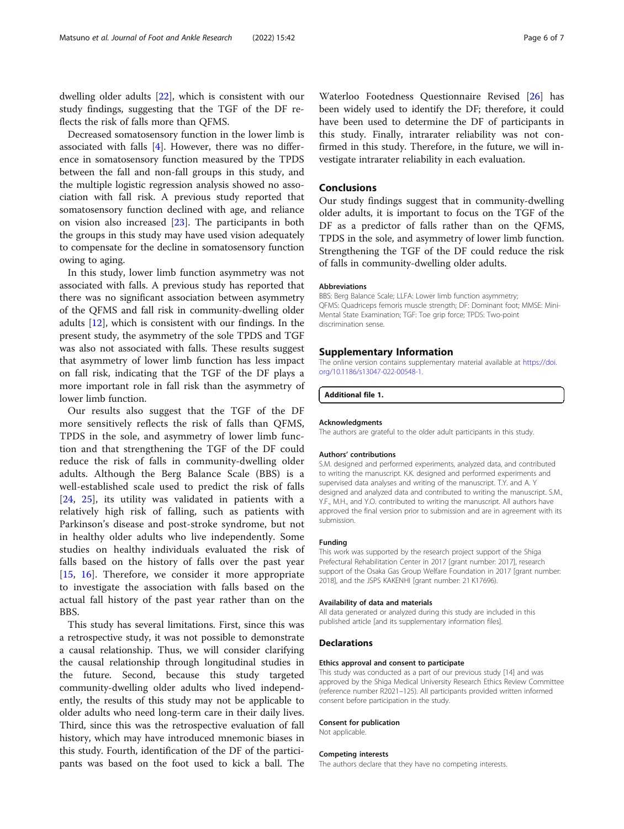dwelling older adults [\[22](#page-6-0)], which is consistent with our study findings, suggesting that the TGF of the DF reflects the risk of falls more than QFMS.

Decreased somatosensory function in the lower limb is associated with falls [\[4](#page-6-0)]. However, there was no difference in somatosensory function measured by the TPDS between the fall and non-fall groups in this study, and the multiple logistic regression analysis showed no association with fall risk. A previous study reported that somatosensory function declined with age, and reliance on vision also increased [\[23](#page-6-0)]. The participants in both the groups in this study may have used vision adequately to compensate for the decline in somatosensory function owing to aging.

In this study, lower limb function asymmetry was not associated with falls. A previous study has reported that there was no significant association between asymmetry of the QFMS and fall risk in community-dwelling older adults [[12\]](#page-6-0), which is consistent with our findings. In the present study, the asymmetry of the sole TPDS and TGF was also not associated with falls. These results suggest that asymmetry of lower limb function has less impact on fall risk, indicating that the TGF of the DF plays a more important role in fall risk than the asymmetry of lower limb function.

Our results also suggest that the TGF of the DF more sensitively reflects the risk of falls than QFMS, TPDS in the sole, and asymmetry of lower limb function and that strengthening the TGF of the DF could reduce the risk of falls in community-dwelling older adults. Although the Berg Balance Scale (BBS) is a well-established scale used to predict the risk of falls [[24,](#page-6-0) [25](#page-6-0)], its utility was validated in patients with a relatively high risk of falling, such as patients with Parkinson's disease and post-stroke syndrome, but not in healthy older adults who live independently. Some studies on healthy individuals evaluated the risk of falls based on the history of falls over the past year [[15,](#page-6-0) [16](#page-6-0)]. Therefore, we consider it more appropriate to investigate the association with falls based on the actual fall history of the past year rather than on the **BBS** 

This study has several limitations. First, since this was a retrospective study, it was not possible to demonstrate a causal relationship. Thus, we will consider clarifying the causal relationship through longitudinal studies in the future. Second, because this study targeted community-dwelling older adults who lived independently, the results of this study may not be applicable to older adults who need long-term care in their daily lives. Third, since this was the retrospective evaluation of fall history, which may have introduced mnemonic biases in this study. Fourth, identification of the DF of the participants was based on the foot used to kick a ball. The

Waterloo Footedness Questionnaire Revised [[26\]](#page-6-0) has been widely used to identify the DF; therefore, it could have been used to determine the DF of participants in this study. Finally, intrarater reliability was not confirmed in this study. Therefore, in the future, we will investigate intrarater reliability in each evaluation.

# Conclusions

Our study findings suggest that in community-dwelling older adults, it is important to focus on the TGF of the DF as a predictor of falls rather than on the QFMS, TPDS in the sole, and asymmetry of lower limb function. Strengthening the TGF of the DF could reduce the risk of falls in community-dwelling older adults.

#### Abbreviations

BBS: Berg Balance Scale; LLFA: Lower limb function asymmetry; QFMS: Quadriceps femoris muscle strength; DF: Dominant foot; MMSE: Mini-Mental State Examination; TGF: Toe grip force; TPDS: Two-point discrimination sense.

#### Supplementary Information

The online version contains supplementary material available at [https://doi.](https://doi.org/10.1186/s13047-022-00548-1) [org/10.1186/s13047-022-00548-1.](https://doi.org/10.1186/s13047-022-00548-1)

Additional file 1.

#### Acknowledgments

The authors are grateful to the older adult participants in this study.

#### Authors' contributions

S.M. designed and performed experiments, analyzed data, and contributed to writing the manuscript. K.K. designed and performed experiments and supervised data analyses and writing of the manuscript. T.Y. and A. Y designed and analyzed data and contributed to writing the manuscript. S.M., Y.F., M.H., and Y.O. contributed to writing the manuscript. All authors have approved the final version prior to submission and are in agreement with its submission.

#### Funding

This work was supported by the research project support of the Shiga Prefectural Rehabilitation Center in 2017 [grant number: 2017], research support of the Osaka Gas Group Welfare Foundation in 2017 [grant number: 2018], and the JSPS KAKENHI [grant number: 21 K17696).

#### Availability of data and materials

All data generated or analyzed during this study are included in this published article [and its supplementary information files].

#### **Declarations**

#### Ethics approval and consent to participate

This study was conducted as a part of our previous study [14] and was approved by the Shiga Medical University Research Ethics Review Committee (reference number R2021–125). All participants provided written informed consent before participation in the study.

#### Consent for publication

Not applicable.

#### Competing interests

The authors declare that they have no competing interests.